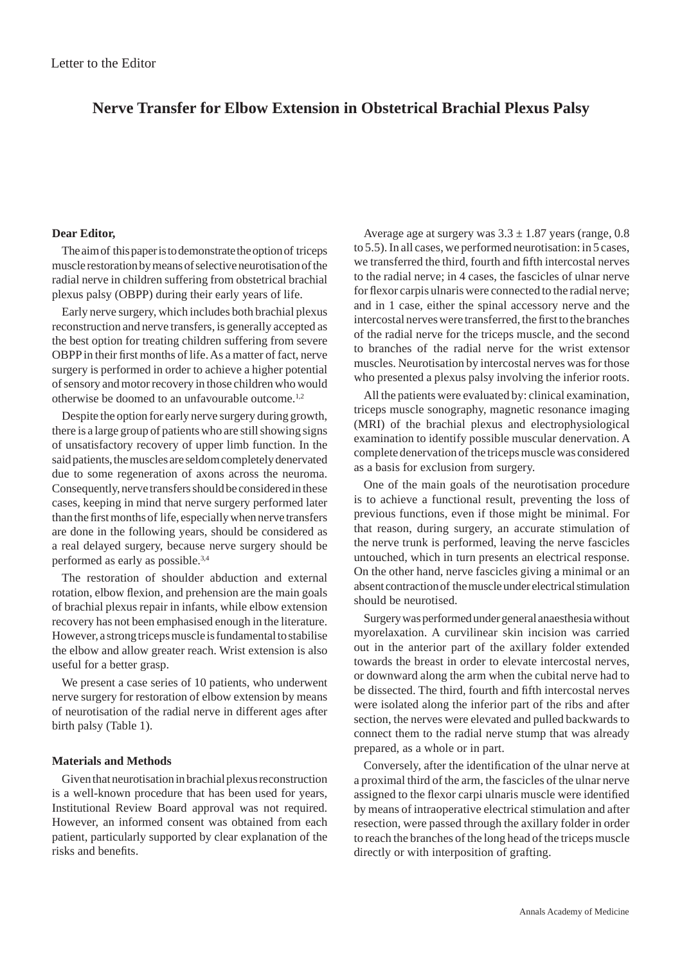# **Nerve Transfer for Elbow Extension in Obstetrical Brachial Plexus Palsy**

## **Dear Editor,**

The aim of this paper is to demonstrate the option of triceps muscle restoration by means of selective neurotisation of the radial nerve in children suffering from obstetrical brachial plexus palsy (OBPP) during their early years of life.

Early nerve surgery, which includes both brachial plexus reconstruction and nerve transfers, is generally accepted as the best option for treating children suffering from severe OBPP in their first months of life. As a matter of fact, nerve surgery is performed in order to achieve a higher potential of sensory and motor recovery in those children who would otherwise be doomed to an unfavourable outcome.<sup>1,2</sup>

Despite the option for early nerve surgery during growth, there is a large group of patients who are still showing signs of unsatisfactory recovery of upper limb function. In the said patients, the muscles are seldom completely denervated due to some regeneration of axons across the neuroma. Consequently, nerve transfers should be considered in these cases, keeping in mind that nerve surgery performed later than the first months of life, especially when nerve transfers are done in the following years, should be considered as a real delayed surgery, because nerve surgery should be performed as early as possible.3,4

The restoration of shoulder abduction and external rotation, elbow flexion, and prehension are the main goals of brachial plexus repair in infants, while elbow extension recovery has not been emphasised enough in the literature. However, a strong triceps muscle is fundamental to stabilise the elbow and allow greater reach. Wrist extension is also useful for a better grasp.

We present a case series of 10 patients, who underwent nerve surgery for restoration of elbow extension by means of neurotisation of the radial nerve in different ages after birth palsy (Table 1).

### **Materials and Methods**

Given that neurotisation in brachial plexus reconstruction is a well-known procedure that has been used for years, Institutional Review Board approval was not required. However, an informed consent was obtained from each patient, particularly supported by clear explanation of the risks and benefits.

Average age at surgery was  $3.3 \pm 1.87$  years (range, 0.8) to 5.5). In all cases, we performed neurotisation: in 5 cases, we transferred the third, fourth and fifth intercostal nerves to the radial nerve; in 4 cases, the fascicles of ulnar nerve for flexor carpis ulnaris were connected to the radial nerve; and in 1 case, either the spinal accessory nerve and the intercostal nerves were transferred, the first to the branches of the radial nerve for the triceps muscle, and the second to branches of the radial nerve for the wrist extensor muscles. Neurotisation by intercostal nerves was for those who presented a plexus palsy involving the inferior roots.

All the patients were evaluated by: clinical examination, triceps muscle sonography, magnetic resonance imaging (MRI) of the brachial plexus and electrophysiological examination to identify possible muscular denervation. A complete denervation of the triceps muscle was considered as a basis for exclusion from surgery.

One of the main goals of the neurotisation procedure is to achieve a functional result, preventing the loss of previous functions, even if those might be minimal. For that reason, during surgery, an accurate stimulation of the nerve trunk is performed, leaving the nerve fascicles untouched, which in turn presents an electrical response. On the other hand, nerve fascicles giving a minimal or an absent contraction of the muscle under electrical stimulation should be neurotised.

Surgery was performed under general anaesthesia without myorelaxation. A curvilinear skin incision was carried out in the anterior part of the axillary folder extended towards the breast in order to elevate intercostal nerves, or downward along the arm when the cubital nerve had to be dissected. The third, fourth and fifth intercostal nerves were isolated along the inferior part of the ribs and after section, the nerves were elevated and pulled backwards to connect them to the radial nerve stump that was already prepared, as a whole or in part.

Conversely, after the identification of the ulnar nerve at a proximal third of the arm, the fascicles of the ulnar nerve assigned to the flexor carpi ulnaris muscle were identified by means of intraoperative electrical stimulation and after resection, were passed through the axillary folder in order to reach the branches of the long head of the triceps muscle directly or with interposition of grafting.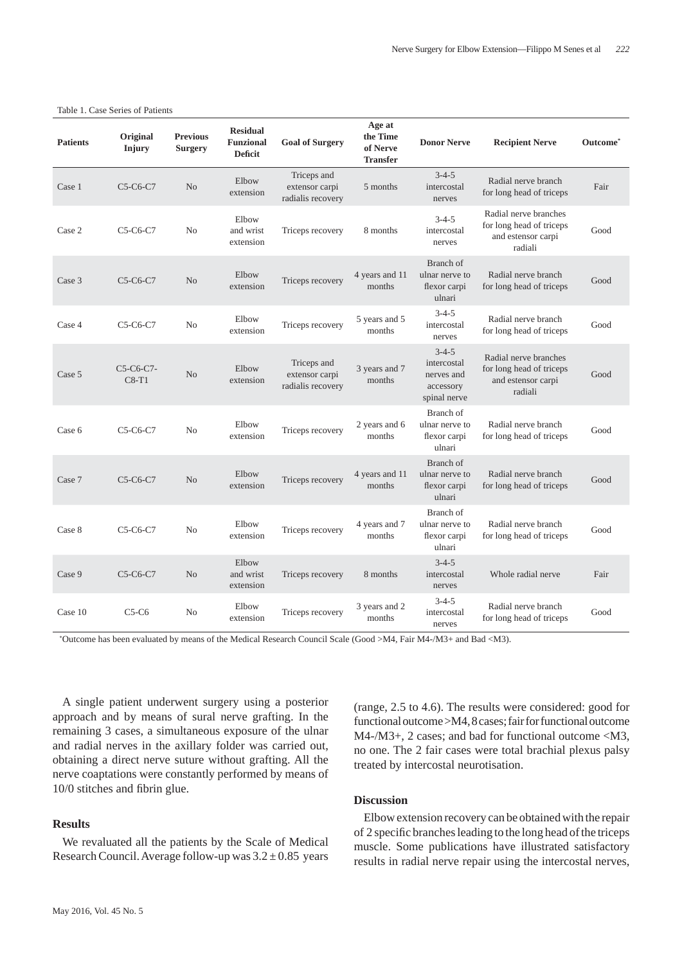| <b>Patients</b> | Original<br>Injury     | <b>Previous</b><br><b>Surgery</b> | <b>Residual</b><br><b>Funzional</b><br><b>Deficit</b> | <b>Goal of Surgery</b>                             | Age at<br>the Time<br>of Nerve<br><b>Transfer</b> | <b>Donor Nerve</b>                                                    | <b>Recipient Nerve</b>                                                             | Outcome* |
|-----------------|------------------------|-----------------------------------|-------------------------------------------------------|----------------------------------------------------|---------------------------------------------------|-----------------------------------------------------------------------|------------------------------------------------------------------------------------|----------|
| Case 1          | $C5-C6-C7$             | N <sub>o</sub>                    | Elbow<br>extension                                    | Triceps and<br>extensor carpi<br>radialis recovery | 5 months                                          | $3 - 4 - 5$<br>intercostal<br>nerves                                  | Radial nerve branch<br>for long head of triceps                                    | Fair     |
| Case 2          | $C5-C6-C7$             | No                                | Elbow<br>and wrist<br>extension                       | Triceps recovery                                   | 8 months                                          | $3 - 4 - 5$<br>intercostal<br>nerves                                  | Radial nerve branches<br>for long head of triceps<br>and estensor carpi<br>radiali | Good     |
| Case 3          | $C5-C6-C7$             | No                                | Elbow<br>extension                                    | Triceps recovery                                   | 4 years and 11<br>months                          | Branch of<br>ulnar nerve to<br>flexor carpi<br>ulnari                 | Radial nerve branch<br>for long head of triceps                                    | Good     |
| Case 4          | $C5-C6-C7$             | N <sub>0</sub>                    | Elbow<br>extension                                    | Triceps recovery                                   | 5 years and 5<br>months                           | $3 - 4 - 5$<br>intercostal<br>nerves                                  | Radial nerve branch<br>for long head of triceps                                    | Good     |
| Case 5          | $C5-C6-C7-$<br>$C8-T1$ | N <sub>o</sub>                    | Elbow<br>extension                                    | Triceps and<br>extensor carpi<br>radialis recovery | 3 years and 7<br>months                           | $3 - 4 - 5$<br>intercostal<br>nerves and<br>accessory<br>spinal nerve | Radial nerve branches<br>for long head of triceps<br>and estensor carpi<br>radiali | Good     |
| Case 6          | $C5-C6-C7$             | N <sub>0</sub>                    | Elbow<br>extension                                    | Triceps recovery                                   | 2 years and 6<br>months                           | Branch of<br>ulnar nerve to<br>flexor carpi<br>ulnari                 | Radial nerve branch<br>for long head of triceps                                    | Good     |
| Case 7          | $C5-C6-C7$             | N <sub>o</sub>                    | Elbow<br>extension                                    | Triceps recovery                                   | 4 years and 11<br>months                          | Branch of<br>ulnar nerve to<br>flexor carpi<br>ulnari                 | Radial nerve branch<br>for long head of triceps                                    | Good     |
| Case 8          | $C5-C6-C7$             | No                                | Elbow<br>extension                                    | Triceps recovery                                   | 4 years and 7<br>months                           | Branch of<br>ulnar nerve to<br>flexor carpi<br>ulnari                 | Radial nerve branch<br>for long head of triceps                                    | Good     |
| Case 9          | $C5-C6-C7$             | No                                | Elbow<br>and wrist<br>extension                       | Triceps recovery                                   | 8 months                                          | $3 - 4 - 5$<br>intercostal<br>nerves                                  | Whole radial nerve                                                                 | Fair     |
| Case 10         | $C5-C6$                | No                                | Elbow<br>extension                                    | Triceps recovery                                   | 3 years and 2<br>months                           | $3 - 4 - 5$<br>intercostal<br>nerves                                  | Radial nerve branch<br>for long head of triceps                                    | Good     |

#### Table 1. Case Series of Patients

\* Outcome has been evaluated by means of the Medical Research Council Scale (Good >M4, Fair M4-/M3+ and Bad <M3).

A single patient underwent surgery using a posterior approach and by means of sural nerve grafting. In the remaining 3 cases, a simultaneous exposure of the ulnar and radial nerves in the axillary folder was carried out, obtaining a direct nerve suture without grafting. All the nerve coaptations were constantly performed by means of 10/0 stitches and fibrin glue.

# **Results**

We revaluated all the patients by the Scale of Medical Research Council. Average follow-up was  $3.2 \pm 0.85$  years

(range, 2.5 to 4.6). The results were considered: good for functional outcome >M4, 8 cases; fair for functional outcome M4-/M3+, 2 cases; and bad for functional outcome <M3, no one. The 2 fair cases were total brachial plexus palsy treated by intercostal neurotisation.

## **Discussion**

Elbow extension recovery can be obtained with the repair of 2 specific branches leading to the long head of the triceps muscle. Some publications have illustrated satisfactory results in radial nerve repair using the intercostal nerves,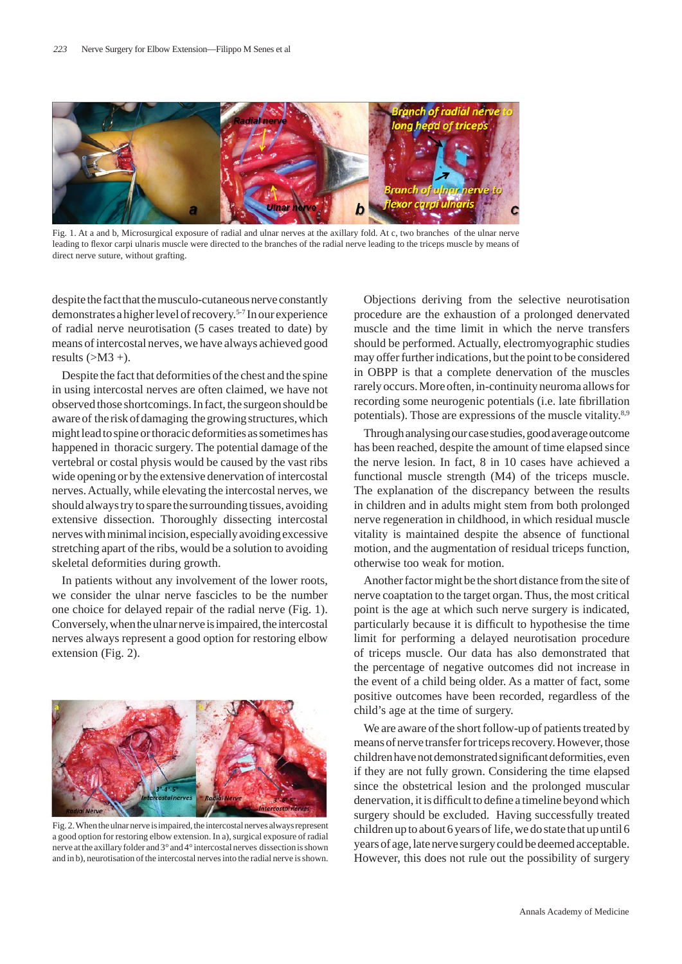

Fig. 1. At a and b, Microsurgical exposure of radial and ulnar nerves at the axillary fold. At c, two branches of the ulnar nerve leading to flexor carpi ulnaris muscle were directed to the branches of the radial nerve leading to the triceps muscle by means of direct nerve suture, without grafting.

despite the fact that the musculo-cutaneous nerve constantly demonstrates a higher level of recovery.5-7 In our experience of radial nerve neurotisation (5 cases treated to date) by means of intercostal nerves, we have always achieved good results  $(>M3 +)$ .

Despite the fact that deformities of the chest and the spine in using intercostal nerves are often claimed, we have not observed those shortcomings. In fact, the surgeon should be aware of the risk of damaging the growing structures, which might lead to spine or thoracic deformities as sometimes has happened in thoracic surgery. The potential damage of the vertebral or costal physis would be caused by the vast ribs wide opening or by the extensive denervation of intercostal nerves. Actually, while elevating the intercostal nerves, we should always try to spare the surrounding tissues, avoiding extensive dissection. Thoroughly dissecting intercostal nerves with minimal incision, especially avoiding excessive stretching apart of the ribs, would be a solution to avoiding skeletal deformities during growth.

In patients without any involvement of the lower roots, we consider the ulnar nerve fascicles to be the number one choice for delayed repair of the radial nerve (Fig. 1). Conversely, when the ulnar nerve is impaired, the intercostal nerves always represent a good option for restoring elbow extension (Fig. 2).



Fig. 2. When the ulnar nerve is impaired, the intercostal nerves always represent a good option for restoring elbow extension. In a), surgical exposure of radial nerve at the axillary folder and 3° and 4° intercostal nerves dissection is shown and in b), neurotisation of the intercostal nerves into the radial nerve is shown.

Objections deriving from the selective neurotisation procedure are the exhaustion of a prolonged denervated muscle and the time limit in which the nerve transfers should be performed. Actually, electromyographic studies may offer further indications, but the point to be considered in OBPP is that a complete denervation of the muscles rarely occurs. More often, in-continuity neuroma allows for recording some neurogenic potentials (i.e. late fibrillation potentials). Those are expressions of the muscle vitality.<sup>8,9</sup>

Through analysing our case studies, good average outcome has been reached, despite the amount of time elapsed since the nerve lesion. In fact, 8 in 10 cases have achieved a functional muscle strength (M4) of the triceps muscle. The explanation of the discrepancy between the results in children and in adults might stem from both prolonged nerve regeneration in childhood, in which residual muscle vitality is maintained despite the absence of functional motion, and the augmentation of residual triceps function, otherwise too weak for motion.

Another factor might be the short distance from the site of nerve coaptation to the target organ. Thus, the most critical point is the age at which such nerve surgery is indicated, particularly because it is difficult to hypothesise the time limit for performing a delayed neurotisation procedure of triceps muscle. Our data has also demonstrated that the percentage of negative outcomes did not increase in the event of a child being older. As a matter of fact, some positive outcomes have been recorded, regardless of the child's age at the time of surgery.

We are aware of the short follow-up of patients treated by means of nerve transfer for triceps recovery. However, those children have not demonstrated significant deformities, even if they are not fully grown. Considering the time elapsed since the obstetrical lesion and the prolonged muscular denervation, it is difficult to define a timeline beyond which surgery should be excluded. Having successfully treated children up to about 6 years of life, we do state that up until 6 years of age, late nerve surgery could be deemed acceptable. However, this does not rule out the possibility of surgery